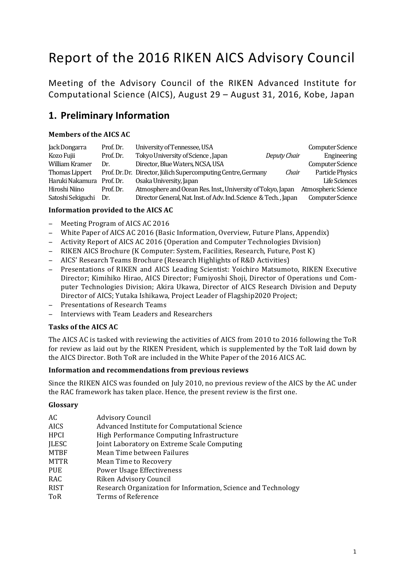# Report of the 2016 RIKEN AICS Advisory Council

Meeting of the Advisory Council of the RIKEN Advanced Institute for Computational Science (AICS), August 29 - August 31, 2016, Kobe, Japan

# **1. Preliminary Information**

#### **Members of the AICS AC**

| Jack Dongarra         | Prof. Dr. | University of Tennessee, USA                                     |              | <b>Computer Science</b> |
|-----------------------|-----------|------------------------------------------------------------------|--------------|-------------------------|
| Kozo Fujii            | Prof. Dr. | Tokyo University of Science, Japan                               | Deputy Chair | Engineering             |
| William Kramer        | Dr.       | Director, Blue Waters, NCSA, USA                                 |              | <b>Computer Science</b> |
| <b>Thomas Lippert</b> |           | Prof. Dr. Dr. Director, Jülich Supercomputing Centre, Germany    | Chair        | Particle Physics        |
| Haruki Nakamura       | Prof. Dr. | Osaka University, Japan                                          |              | Life Sciences           |
| Hiroshi Niino         | Prof. Dr. | Atmosphere and Ocean Res. Inst., University of Tokyo, Japan      |              | Atmospheric Science     |
| Satoshi Sekiguchi     | Dr.       | Director General, Nat. Inst. of Adv. Ind. Science & Tech., Japan |              | <b>Computer Science</b> |

#### **Information provided to the AICS AC**

- − Meeting Program of AICS AC 2016
- − White Paper of AICS AC 2016 (Basic Information, Overview, Future Plans, Appendix)
- − Activity Report of AICS AC 2016 (Operation and Computer Technologies Division)
- − RIKEN AICS Brochure (K Computer: System, Facilities, Research, Future, Post K)
- − AICS' Research Teams Brochure (Research Highlights of R&D Activities)
- − Presentations of RIKEN and AICS Leading Scientist: Yoichiro Matsumoto, RIKEN Executive Director; Kimihiko Hirao, AICS Director; Fumiyoshi Shoji, Director of Operations und Computer Technologies Division; Akira Ukawa, Director of AICS Research Division and Deputy Director of AICS; Yutaka Ishikawa, Project Leader of Flagship2020 Project;
- Presentations of Research Teams
- − Interviews with Team Leaders and Researchers

#### **Tasks of the AICS AC**

The AICS AC is tasked with reviewing the activities of AICS from 2010 to 2016 following the ToR for review as laid out by the RIKEN President, which is supplemented by the ToR laid down by the AICS Director. Both ToR are included in the White Paper of the 2016 AICS AC.

#### Information and recommendations from previous reviews

Since the RIKEN AICS was founded on July 2010, no previous review of the AICS by the AC under the RAC framework has taken place. Hence, the present review is the first one.

#### **Glossary**

| AC           | <b>Advisory Council</b>                                       |  |  |
|--------------|---------------------------------------------------------------|--|--|
| <b>AICS</b>  | Advanced Institute for Computational Science                  |  |  |
| HPCI         | High Performance Computing Infrastructure                     |  |  |
| <b>JLESC</b> | Joint Laboratory on Extreme Scale Computing                   |  |  |
| <b>MTBF</b>  | Mean Time between Failures                                    |  |  |
| <b>MTTR</b>  | Mean Time to Recovery                                         |  |  |
| <b>PUE</b>   | <b>Power Usage Effectiveness</b>                              |  |  |
| RAC          | Riken Advisory Council                                        |  |  |
| <b>RIST</b>  | Research Organization for Information, Science and Technology |  |  |
| ToR          | Terms of Reference                                            |  |  |
|              |                                                               |  |  |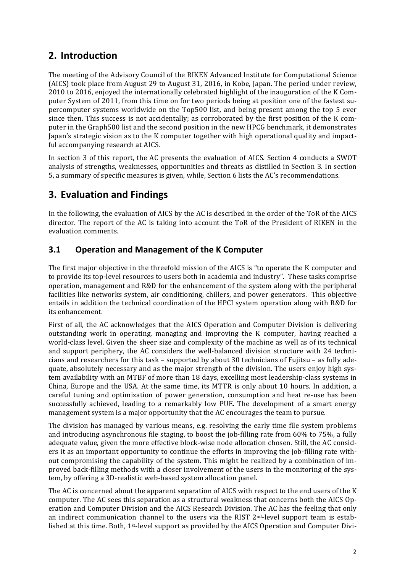# **2. Introduction**

The meeting of the Advisory Council of the RIKEN Advanced Institute for Computational Science (AICS) took place from August 29 to August 31, 2016, in Kobe, Japan. The period under review, 2010 to 2016, enjoyed the internationally celebrated highlight of the inauguration of the K Computer System of 2011, from this time on for two periods being at position one of the fastest supercomputer systems worldwide on the Top500 list, and being present among the top 5 ever since then. This success is not accidentally; as corroborated by the first position of the K computer in the Graph500 list and the second position in the new HPCG benchmark, it demonstrates Japan's strategic vision as to the K computer together with high operational quality and impactful accompanying research at AICS.

In section 3 of this report, the AC presents the evaluation of AICS. Section 4 conducts a SWOT analysis of strengths, weaknesses, opportunities and threats as distilled in Section 3. In section 5, a summary of specific measures is given, while, Section 6 lists the AC's recommendations.

# **3. Evaluation and Findings**

In the following, the evaluation of AICS by the AC is described in the order of the ToR of the AICS director. The report of the AC is taking into account the ToR of the President of RIKEN in the evaluation comments.

### **3.1 Operation and Management of the K Computer**

The first major objective in the threefold mission of the AICS is "to operate the K computer and to provide its top-level resources to users both in academia and industry". These tasks comprise operation, management and R&D for the enhancement of the system along with the peripheral facilities like networks system, air conditioning, chillers, and power generators. This objective entails in addition the technical coordination of the HPCI system operation along with R&D for its enhancement.

First of all, the AC acknowledges that the AICS Operation and Computer Division is delivering outstanding work in operating, managing and improving the K computer, having reached a world-class level. Given the sheer size and complexity of the machine as well as of its technical and support periphery, the AC considers the well-balanced division structure with 24 technicians and researchers for this task – supported by about 30 technicians of Fujitsu – as fully adequate, absolutely necessary and as the major strength of the division. The users enjoy high system availability with an MTBF of more than 18 days, excelling most leadership-class systems in China, Europe and the USA. At the same time, its MTTR is only about 10 hours. In addition, a careful tuning and optimization of power generation, consumption and heat re-use has been successfully achieved, leading to a remarkably low PUE. The development of a smart energy management system is a major opportunity that the AC encourages the team to pursue.

The division has managed by various means, e.g. resolving the early time file system problems and introducing asynchronous file staging, to boost the job-filling rate from  $60\%$  to 75%, a fully adequate value, given the more effective block-wise node allocation chosen. Still, the AC considers it as an important opportunity to continue the efforts in improving the job-filling rate without compromising the capability of the system. This might be realized by a combination of improved back-filling methods with a closer involvement of the users in the monitoring of the system, by offering a 3D-realistic web-based system allocation panel.

The AC is concerned about the apparent separation of AICS with respect to the end users of the K computer. The AC sees this separation as a structural weakness that concerns both the AICS Operation and Computer Division and the AICS Research Division. The AC has the feeling that only an indirect communication channel to the users via the RIST 2<sup>nd</sup>-level support team is established at this time. Both, 1<sup>st-</sup>level support as provided by the AICS Operation and Computer Divi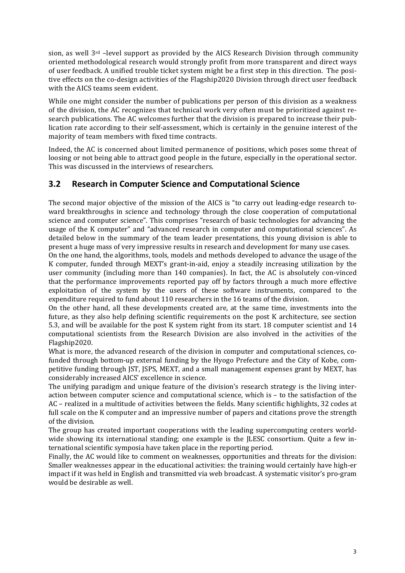sion, as well  $3^{rd}$  –level support as provided by the AICS Research Division through community oriented methodological research would strongly profit from more transparent and direct ways of user feedback. A unified trouble ticket system might be a first step in this direction. The positive effects on the co-design activities of the Flagship2020 Division through direct user feedback with the AICS teams seem evident.

While one might consider the number of publications per person of this division as a weakness of the division, the AC recognizes that technical work very often must be prioritized against research publications. The AC welcomes further that the division is prepared to increase their publication rate according to their self-assessment, which is certainly in the genuine interest of the majority of team members with fixed time contracts.

Indeed, the AC is concerned about limited permanence of positions, which poses some threat of loosing or not being able to attract good people in the future, especially in the operational sector. This was discussed in the interviews of researchers.

### **3.2 Research in Computer Science and Computational Science**

The second major objective of the mission of the AICS is "to carry out leading-edge research toward breakthroughs in science and technology through the close cooperation of computational science and computer science". This comprises "research of basic technologies for advancing the usage of the K computer" and "advanced research in computer and computational sciences". As detailed below in the summary of the team leader presentations, this young division is able to present a huge mass of very impressive results in research and development for many use cases.

On the one hand, the algorithms, tools, models and methods developed to advance the usage of the K computer, funded through MEXT's grant-in-aid, enjoy a steadily increasing utilization by the user community (including more than 140 companies). In fact, the AC is absolutely con-vinced that the performance improvements reported pay off by factors through a much more effective exploitation of the system by the users of these software instruments, compared to the expenditure required to fund about 110 researchers in the 16 teams of the division.

On the other hand, all these developments created are, at the same time, investments into the future, as they also help defining scientific requirements on the post K architecture, see section 5.3, and will be available for the post K system right from its start. 18 computer scientist and 14 computational scientists from the Research Division are also involved in the activities of the Flagship2020.

What is more, the advanced research of the division in computer and computational sciences, cofunded through bottom-up external funding by the Hyogo Prefecture and the City of Kobe, competitive funding through JST, JSPS, MEXT, and a small management expenses grant by MEXT, has considerably increased AICS' excellence in science.

The unifying paradigm and unique feature of the division's research strategy is the living interaction between computer science and computational science, which is – to the satisfaction of the AC – realized in a multitude of activities between the fields. Many scientific highlights, 32 codes at full scale on the K computer and an impressive number of papers and citations prove the strength of the division.

The group has created important cooperations with the leading supercomputing centers worldwide showing its international standing; one example is the JLESC consortium. Quite a few international scientific symposia have taken place in the reporting period.

Finally, the AC would like to comment on weaknesses, opportunities and threats for the division: Smaller weaknesses appear in the educational activities: the training would certainly have high-er impact if it was held in English and transmitted via web broadcast. A systematic visitor's pro-gram would be desirable as well.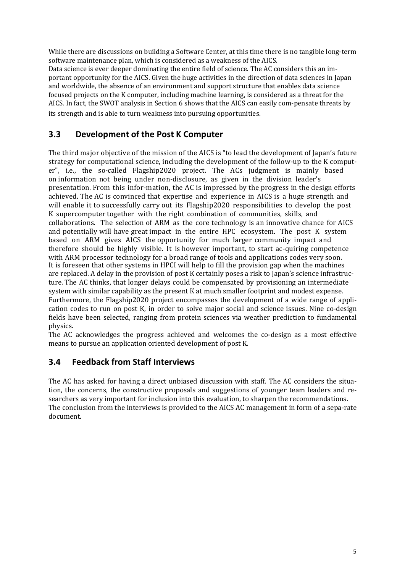While there are discussions on building a Software Center, at this time there is no tangible long-term software maintenance plan, which is considered as a weakness of the AICS.

Data science is ever deeper dominating the entire field of science. The AC considers this an important opportunity for the AICS. Given the huge activities in the direction of data sciences in Japan and worldwide, the absence of an environment and support structure that enables data science focused projects on the K computer, including machine learning, is considered as a threat for the AICS. In fact, the SWOT analysis in Section 6 shows that the AICS can easily com-pensate threats by its strength and is able to turn weakness into pursuing opportunities.

### **3.3 Development of the Post K Computer**

The third major objective of the mission of the AICS is "to lead the development of Japan's future strategy for computational science, including the development of the follow-up to the K computer", i.e., the so-called Flagship2020 project. The ACs judgment is mainly based on information not being under non-disclosure, as given in the division leader's presentation. From this infor-mation, the AC is impressed by the progress in the design efforts achieved. The AC is convinced that expertise and experience in AICS is a huge strength and will enable it to successfully carry out its Flagship2020 responsibilities to develop the post K supercomputer together with the right combination of communities, skills, and collaborations. The selection of ARM as the core technology is an innovative chance for AICS and potentially will have great impact in the entire  $HPC$  ecosystem. The post K system based on ARM gives AICS the opportunity for much larger community impact and therefore should be highly visible. It is however important, to start ac-quiring competence with ARM processor technology for a broad range of tools and applications codes very soon. It is foreseen that other systems in HPCI will help to fill the provision gap when the machines are replaced. A delay in the provision of post K certainly poses a risk to Japan's science infrastructure. The AC thinks, that longer delays could be compensated by provisioning an intermediate system with similar capability as the present K at much smaller footprint and modest expense. Furthermore, the Flagship2020 project encompasses the development of a wide range of application codes to run on post K, in order to solve major social and science issues. Nine co-design fields have been selected, ranging from protein sciences via weather prediction to fundamental physics.

The AC acknowledges the progress achieved and welcomes the co-design as a most effective means to pursue an application oriented development of post K.

### **3.4 Feedback from Staff Interviews**

The AC has asked for having a direct unbiased discussion with staff. The AC considers the situation, the concerns, the constructive proposals and suggestions of younger team leaders and researchers as very important for inclusion into this evaluation, to sharpen the recommendations. The conclusion from the interviews is provided to the AICS AC management in form of a sepa-rate document.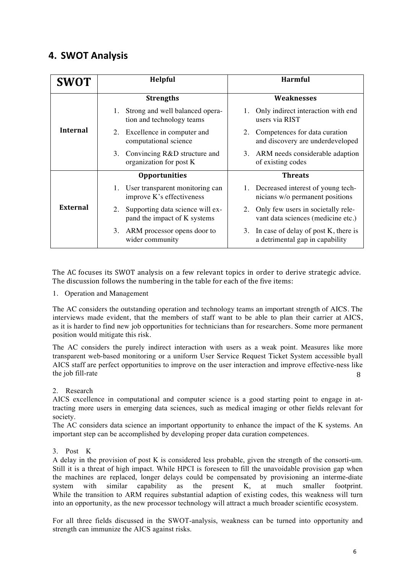# **4. SWOT Analysis**

| <b>SWOT</b>     | <b>Helpful</b>                                                         | <b>Harmful</b>                                                              |  |  |
|-----------------|------------------------------------------------------------------------|-----------------------------------------------------------------------------|--|--|
| <b>Internal</b> | <b>Strengths</b>                                                       | <b>Weaknesses</b>                                                           |  |  |
|                 | Strong and well balanced opera-<br>1.<br>tion and technology teams     | Only indirect interaction with end<br>users via RIST                        |  |  |
|                 | 2. Excellence in computer and<br>computational science                 | 2. Competences for data curation<br>and discovery are underdeveloped        |  |  |
|                 | Convincing R&D structure and<br>3.<br>organization for post K          | 3. ARM needs considerable adaption<br>of existing codes                     |  |  |
| External        | <b>Opportunities</b>                                                   | <b>Threats</b>                                                              |  |  |
|                 | 1. User transparent monitoring can<br>improve K's effectiveness        | 1. Decreased interest of young tech-<br>nicians w/o permanent positions     |  |  |
|                 | Supporting data science will ex-<br>2.<br>pand the impact of K systems | 2. Only few users in societally rele-<br>vant data sciences (medicine etc.) |  |  |
|                 | ARM processor opens door to<br>3.<br>wider community                   | 3. In case of delay of post K, there is<br>a detrimental gap in capability  |  |  |

The AC focuses its SWOT analysis on a few relevant topics in order to derive strategic advice. The discussion follows the numbering in the table for each of the five items:

1. Operation and Management

The AC considers the outstanding operation and technology teams an important strength of AICS. The interviews made evident, that the members of staff want to be able to plan their carrier at AICS, as it is harder to find new job opportunities for technicians than for researchers. Some more permanent position would mitigate this risk.

8 The AC considers the purely indirect interaction with users as a weak point. Measures like more transparent web-based monitoring or a uniform User Service Request Ticket System accessible byall AICS staff are perfect opportunities to improve on the user interaction and improve effective-ness like the job fill-rate

2. Research

AICS excellence in computational and computer science is a good starting point to engage in attracting more users in emerging data sciences, such as medical imaging or other fields relevant for society.

The AC considers data science an important opportunity to enhance the impact of the K systems. An important step can be accomplished by developing proper data curation competences.

#### 3. Post K

A delay in the provision of post K is considered less probable, given the strength of the consorti-um. Still it is a threat of high impact. While HPCI is foreseen to fill the unavoidable provision gap when the machines are replaced, longer delays could be compensated by provisioning an interme-diate system with similar capability as the present K, at much smaller footprint. While the transition to ARM requires substantial adaption of existing codes, this weakness will turn into an opportunity, as the new processor technology will attract a much broader scientific ecosystem.

For all three fields discussed in the SWOT-analysis, weakness can be turned into opportunity and strength can immunize the AICS against risks.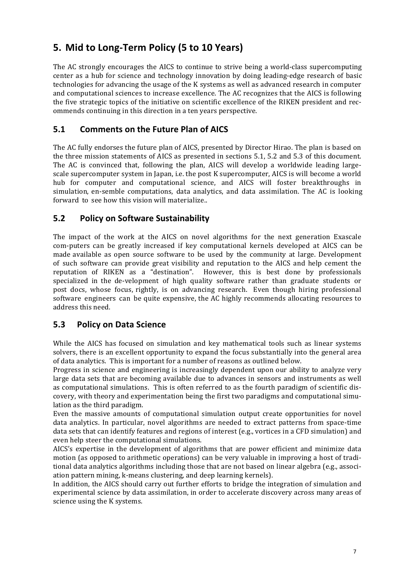# **5. Mid to Long-Term Policy (5 to 10 Years)**

The AC strongly encourages the AICS to continue to strive being a world-class supercomputing center as a hub for science and technology innovation by doing leading-edge research of basic technologies for advancing the usage of the K systems as well as advanced research in computer and computational sciences to increase excellence. The AC recognizes that the AICS is following the five strategic topics of the initiative on scientific excellence of the RIKEN president and recommends continuing in this direction in a ten years perspective.

### **5.1 Comments on the Future Plan of AICS**

The AC fully endorses the future plan of AICS, presented by Director Hirao. The plan is based on the three mission statements of AICS as presented in sections 5.1, 5.2 and 5.3 of this document. The AC is convinced that, following the plan, AICS will develop a worldwide leading largescale supercomputer system in Japan, i.e. the post K supercomputer, AICS is will become a world hub for computer and computational science, and AICS will foster breakthroughs in simulation, en-semble computations, data analytics, and data assimilation. The AC is looking forward to see how this vision will materialize...

### **5.2 Policy on Software Sustainability**

The impact of the work at the AICS on novel algorithms for the next generation Exascale com-puters can be greatly increased if key computational kernels developed at AICS can be made available as open source software to be used by the community at large. Development of such software can provide great visibility and reputation to the AICS and help cement the reputation of RIKEN as a "destination". However, this is best done by professionals specialized in the de-velopment of high quality software rather than graduate students or post docs, whose focus, rightly, is on advancing research. Even though hiring professional software engineers can be quite expensive, the AC highly recommends allocating resources to address this need.

### **5.3 Policy on Data Science**

While the AICS has focused on simulation and key mathematical tools such as linear systems solvers, there is an excellent opportunity to expand the focus substantially into the general area of data analytics. This is important for a number of reasons as outlined below.

Progress in science and engineering is increasingly dependent upon our ability to analyze very large data sets that are becoming available due to advances in sensors and instruments as well as computational simulations. This is often referred to as the fourth paradigm of scientific discovery, with theory and experimentation being the first two paradigms and computational simulation as the third paradigm.

Even the massive amounts of computational simulation output create opportunities for novel data analytics. In particular, novel algorithms are needed to extract patterns from space-time data sets that can identify features and regions of interest (e.g., vortices in a CFD simulation) and even help steer the computational simulations.

AICS's expertise in the development of algorithms that are power efficient and minimize data motion (as opposed to arithmetic operations) can be very valuable in improving a host of traditional data analytics algorithms including those that are not based on linear algebra (e.g., association pattern mining, k-means clustering, and deep learning kernels).

In addition, the AICS should carry out further efforts to bridge the integration of simulation and experimental science by data assimilation, in order to accelerate discovery across many areas of science using the K systems.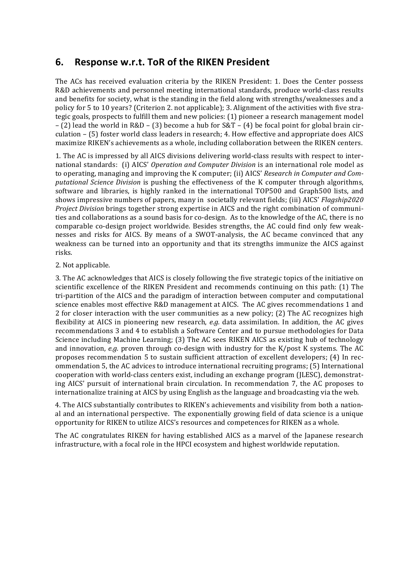# **6.** Response w.r.t. ToR of the RIKEN President

The ACs has received evaluation criteria by the RIKEN President: 1. Does the Center possess R&D achievements and personnel meeting international standards, produce world-class results and benefits for society, what is the standing in the field along with strengths/weaknesses and a policy for 5 to 10 years? (Criterion 2. not applicable); 3. Alignment of the activities with five strategic goals, prospects to fulfill them and new policies: (1) pioneer a research management model – (2) lead the world in R&D – (3) become a hub for  $S\&T - (4)$  be focal point for global brain circulation  $-$  (5) foster world class leaders in research; 4. How effective and appropriate does AICS maximize RIKEN's achievements as a whole, including collaboration between the RIKEN centers.

1. The AC is impressed by all AICS divisions delivering world-class results with respect to international standards: (i) AICS' Operation and Computer Division is an international role model as to operating, managing and improving the K computer; (ii) AICS' *Research in Computer and Computational Science Division* is pushing the effectiveness of the K computer through algorithms, software and libraries, is highly ranked in the international TOP500 and Graph500 lists, and shows impressive numbers of papers, many in societally relevant fields; (iii) AICS' *Flagship2020 Project Division* brings together strong expertise in AICS and the right combination of communities and collaborations as a sound basis for co-design. As to the knowledge of the AC, there is no comparable co-design project worldwide. Besides strengths, the AC could find only few weaknesses and risks for AICS. By means of a SWOT-analysis, the AC became convinced that any weakness can be turned into an opportunity and that its strengths immunize the AICS against risks.

#### 2. Not applicable.

3. The AC acknowledges that AICS is closely following the five strategic topics of the initiative on scientific excellence of the RIKEN President and recommends continuing on this path: (1) The tri-partition of the AICS and the paradigm of interaction between computer and computational science enables most effective R&D management at AICS. The AC gives recommendations 1 and 2 for closer interaction with the user communities as a new policy;  $(2)$  The AC recognizes high flexibility at AICS in pioneering new research, *e.g.* data assimilation. In addition, the AC gives recommendations 3 and 4 to establish a Software Center and to pursue methodologies for Data Science including Machine Learning; (3) The AC sees RIKEN AICS as existing hub of technology and innovation, *e.g.* proven through co-design with industry for the K/post K systems. The AC proposes recommendation 5 to sustain sufficient attraction of excellent developers; (4) In recommendation 5, the AC advices to introduce international recruiting programs; (5) International cooperation with world-class centers exist, including an exchange program (JLESC), demonstrating AICS' pursuit of international brain circulation. In recommendation 7, the AC proposes to internationalize training at AICS by using English as the language and broadcasting via the web.

4. The AICS substantially contributes to RIKEN's achievements and visibility from both a national and an international perspective. The exponentially growing field of data science is a unique opportunity for RIKEN to utilize AICS's resources and competences for RIKEN as a whole.

The AC congratulates RIKEN for having established AICS as a marvel of the Japanese research infrastructure, with a focal role in the HPCI ecosystem and highest worldwide reputation.